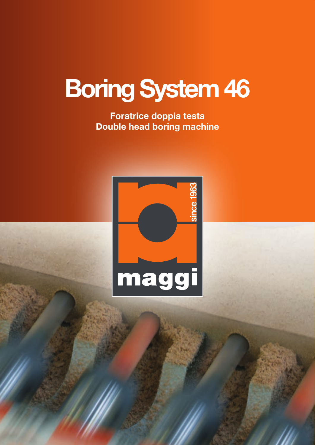## Boring System 46

Foratrice doppia testa Double head boring machine

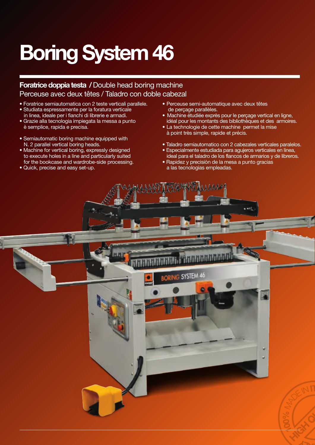## Boring System 46

Foratrice doppia testa / Double head boring machine Perceuse avec deux têtes / Taladro con doble cabezal

- Foratrice semiautomatica con 2 teste verticali parallele. • Studiata espressamente per la foratura verticale
- in linea, ideale per i fianchi di librerie e armadi. • Grazie alla tecnologia impiegata la messa a punto
- è semplice, rapida e precisa.
- Semiautomatic boring machine equipped with N. 2 parallel vertical boring heads.
- Machine for vertical boring, expressly designed to execute holes in a line and particularly suited for the bookcase and wardrobe-side processing.
- Quick, precise and easy set-up.
- Perceuse semi-automatique avec deux têtes de perçage parallèles.
- Machine étudiée exprès pour le perçage vertical en ligne, idéal pour les montants des bibliothèques et des armoires.
- La technologie de cette machine permet la mise à point très simple, rapide et précis.
- Taladro semiautomatico con 2 cabezales verticales paralelos.
- Especialmente estudiada para agujeros verticales en linea, ideal para el taladro de los flancos de armarios y de libreros.
- Rapidez y precisiòn de la mesa a punto gracias a las tecnologias empleadas.

ORING SYSTEM 46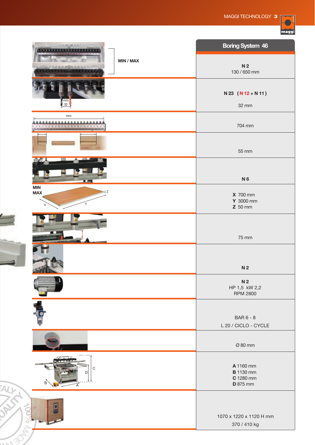

|                                      | <b>Boring System 46</b>                                       |
|--------------------------------------|---------------------------------------------------------------|
| MIN / MAX<br>.                       | N <sub>2</sub><br>130 / 650 mm                                |
| mm<br>32                             | $N 23 (N 12 + N 11)$<br>32 mm                                 |
| $\mathsf{mm}$<br><b></b>             |                                                               |
| ,,,,,,,,,,,,,,,,,,,                  | 704 mm                                                        |
|                                      | 55 mm                                                         |
| . .                                  | N <sub>6</sub>                                                |
| MIN<br>$\equiv$ Z<br><b>MAX</b><br>Υ | <b>X</b> 700 mm<br>Y 3000 mm<br>$Z$ 50 mm                     |
|                                      | 75 mm                                                         |
|                                      | N <sub>2</sub>                                                |
|                                      | N <sub>2</sub><br>HP 1,5 kW 2,2<br><b>RPM 2800</b>            |
|                                      | <b>BAR 6 - 8</b><br>L 20 / CICLO - CYCLE                      |
|                                      | Ø 80 mm                                                       |
| $\mathsf C$<br>D<br>B                | A 1160 mm<br><b>B</b> 1130 mm<br>C 1280 mm<br><b>D</b> 875 mm |
|                                      | 1070 x 1220 x 1120 H mm<br>370 / 410 kg                       |
|                                      |                                                               |